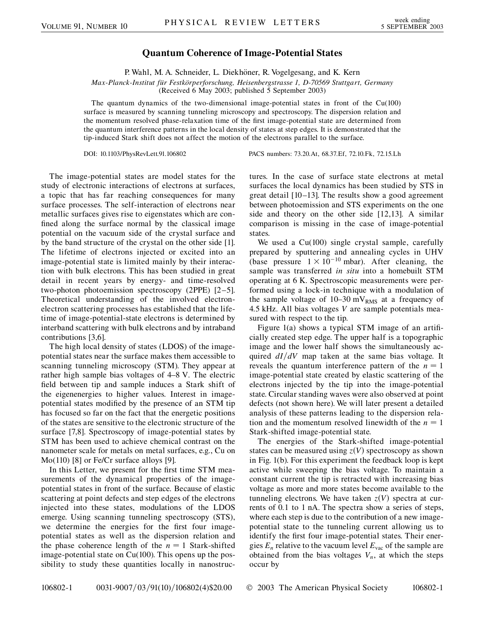## **Quantum Coherence of Image-Potential States**

P. Wahl, M. A. Schneider, L. Diekhöner, R. Vogelgesang, and K. Kern

*Max-Planck-Institut fu¨r Festko¨rperforschung, Heisenbergstrasse 1, D-70569 Stuttgart, Germany*

(Received 6 May 2003; published 5 September 2003)

The quantum dynamics of the two-dimensional image-potential states in front of the Cu(100) surface is measured by scanning tunneling microscopy and spectroscopy. The dispersion relation and the momentum resolved phase-relaxation time of the first image-potential state are determined from the quantum interference patterns in the local density of states at step edges. It is demonstrated that the tip-induced Stark shift does not affect the motion of the electrons parallel to the surface.

DOI: 10.1103/PhysRevLett.91.106802 PACS numbers: 73.20.At, 68.37.Ef, 72.10.Fk, 72.15.Lh

The image-potential states are model states for the study of electronic interactions of electrons at surfaces, a topic that has far reaching consequences for many surface processes. The self-interaction of electrons near metallic surfaces gives rise to eigenstates which are confined along the surface normal by the classical image potential on the vacuum side of the crystal surface and by the band structure of the crystal on the other side [1]. The lifetime of electrons injected or excited into an image-potential state is limited mainly by their interaction with bulk electrons. This has been studied in great detail in recent years by energy- and time-resolved two-photon photoemission spectroscopy (2PPE) [2–5]. Theoretical understanding of the involved electronelectron scattering processes has established that the lifetime of image-potential-state electrons is determined by interband scattering with bulk electrons and by intraband contributions [3,6].

The high local density of states (LDOS) of the imagepotential states near the surface makes them accessible to scanning tunneling microscopy (STM). They appear at rather high sample bias voltages of 4–8 V. The electric field between tip and sample induces a Stark shift of the eigenenergies to higher values. Interest in imagepotential states modified by the presence of an STM tip has focused so far on the fact that the energetic positions of the states are sensitive to the electronic structure of the surface [7,8]. Spectroscopy of image-potential states by STM has been used to achieve chemical contrast on the nanometer scale for metals on metal surfaces, e.g., Cu on Mo(110) [8] or Fe/Cr surface alloys [9].

In this Letter, we present for the first time STM measurements of the dynamical properties of the imagepotential states in front of the surface. Because of elastic scattering at point defects and step edges of the electrons injected into these states, modulations of the LDOS emerge. Using scanning tunneling spectroscopy (STS), we determine the energies for the first four imagepotential states as well as the dispersion relation and the phase coherence length of the  $n = 1$  Stark-shifted image-potential state on Cu(100). This opens up the possibility to study these quantities locally in nanostructures. In the case of surface state electrons at metal surfaces the local dynamics has been studied by STS in great detail [10–13]. The results show a good agreement between photoemission and STS experiments on the one side and theory on the other side [12,13]. A similar comparison is missing in the case of image-potential states.

We used a Cu(100) single crystal sample, carefully prepared by sputtering and annealing cycles in UHV (base pressure  $1 \times 10^{-10}$  mbar). After cleaning, the sample was transferred *in situ* into a homebuilt STM operating at 6 K. Spectroscopic measurements were performed using a lock-in technique with a modulation of the sample voltage of  $10-30$  mV<sub>RMS</sub> at a frequency of 4*:*5 kHz. All bias voltages *V* are sample potentials measured with respect to the tip.

Figure 1(a) shows a typical STM image of an artificially created step edge. The upper half is a topographic image and the lower half shows the simultaneously acquired  $dI/dV$  map taken at the same bias voltage. It reveals the quantum interference pattern of the  $n = 1$ image-potential state created by elastic scattering of the electrons injected by the tip into the image-potential state. Circular standing waves were also observed at point defects (not shown here). We will later present a detailed analysis of these patterns leading to the dispersion relation and the momentum resolved linewidth of the  $n = 1$ Stark-shifted image-potential state.

The energies of the Stark-shifted image-potential states can be measured using  $z(V)$  spectroscopy as shown in Fig. 1(b). For this experiment the feedback loop is kept active while sweeping the bias voltage. To maintain a constant current the tip is retracted with increasing bias voltage as more and more states become available to the tunneling electrons. We have taken  $z(V)$  spectra at currents of 0*:*1 to 1 nA. The spectra show a series of steps, where each step is due to the contribution of a new imagepotential state to the tunneling current allowing us to identify the first four image-potential states. Their energies  $E_n$  relative to the vacuum level  $E_{\text{vac}}$  of the sample are obtained from the bias voltages  $V_n$ , at which the steps occur by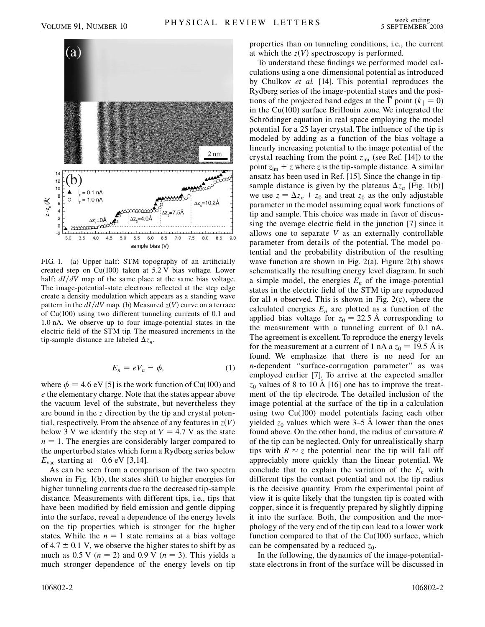

FIG. 1. (a) Upper half: STM topography of an artificially created step on Cu(100) taken at 5*:*2 V bias voltage. Lower half:  $dI/dV$  map of the same place at the same bias voltage. The image-potential-state electrons reflected at the step edge create a density modulation which appears as a standing wave pattern in the  $dI/dV$  map. (b) Measured  $z(V)$  curve on a terrace of Cu(100) using two different tunneling currents of 0*:*1 and 1*:*0 nA. We observe up to four image-potential states in the electric field of the STM tip. The measured increments in the tip-sample distance are labeled  $\Delta z_n$ .

$$
E_n = eV_n - \phi, \tag{1}
$$

where  $\phi = 4.6$  eV [5] is the work function of Cu(100) and *e* the elementary charge. Note that the states appear above the vacuum level of the substrate, but nevertheless they are bound in the *z* direction by the tip and crystal potential, respectively. From the absence of any features in  $z(V)$ below 3 V we identify the step at  $V = 4.7$  V as the state  $n = 1$ . The energies are considerably larger compared to the unperturbed states which form a Rydberg series below  $E_{\text{vac}}$  starting at  $-0.6$  eV [3,14].

As can be seen from a comparison of the two spectra shown in Fig. 1(b), the states shift to higher energies for higher tunneling currents due to the decreased tip-sample distance. Measurements with different tips, i.e., tips that have been modified by field emission and gentle dipping into the surface, reveal a dependence of the energy levels on the tip properties which is stronger for the higher states. While the  $n = 1$  state remains at a bias voltage of  $4.7 \pm 0.1$  V, we observe the higher states to shift by as much as 0.5 V ( $n = 2$ ) and 0.9 V ( $n = 3$ ). This yields a much stronger dependence of the energy levels on tip properties than on tunneling conditions, i.e., the current at which the  $z(V)$  spectroscopy is performed.

To understand these findings we performed model calculations using a one-dimensional potential as introduced by Chulkov *et al.* [14]. This potential reproduces the Rydberg series of the image-potential states and the positions of the projected band edges at the  $\Gamma$  point ( $k_{\parallel} = 0$ ) in the Cu(100) surface Brillouin zone. We integrated the Schrödinger equation in real space employing the model potential for a 25 layer crystal. The influence of the tip is modeled by adding as a function of the bias voltage a linearly increasing potential to the image potential of the crystal reaching from the point  $z_{im}$  (see Ref. [14]) to the point  $z_{im} + z$  where *z* is the tip-sample distance. A similar ansatz has been used in Ref. [15]. Since the change in tipsample distance is given by the plateaus  $\Delta z_n$  [Fig. 1(b)] we use  $z = \Delta z_n + z_0$  and treat  $z_0$  as the only adjustable parameter in the model assuming equal work functions of tip and sample. This choice was made in favor of discussing the average electric field in the junction [7] since it allows one to separate *V* as an externally controllable parameter from details of the potential. The model potential and the probability distribution of the resulting wave function are shown in Fig.  $2(a)$ . Figure  $2(b)$  shows schematically the resulting energy level diagram. In such a simple model, the energies  $E_n$  of the image-potential states in the electric field of the STM tip are reproduced for all *n* observed. This is shown in Fig. 2(c), where the calculated energies  $E_n$  are plotted as a function of the applied bias voltage for  $z_0 = 22.5$  Å corresponding to the measurement with a tunneling current of 0*:*1 nA. The agreement is excellent. To reproduce the energy levels for the measurement at a current of 1 nA a  $z_0 = 19.5$  Å is found. We emphasize that there is no need for an *n*-dependent "surface-corrugation parameter" as was employed earlier [7]. To arrive at the expected smaller  $z_0$  values of 8 to 10 Å [16] one has to improve the treatment of the tip electrode. The detailed inclusion of the image potential at the surface of the tip in a calculation using two Cu(100) model potentials facing each other yielded  $z_0$  values which were 3–5 Å lower than the ones found above. On the other hand, the radius of curvature *R* of the tip can be neglected. Only for unrealistically sharp tips with  $R \approx z$  the potential near the tip will fall off appreciably more quickly than the linear potential. We conclude that to explain the variation of the  $E_n$  with different tips the contact potential and not the tip radius is the decisive quantity. From the experimental point of view it is quite likely that the tungsten tip is coated with copper, since it is frequently prepared by slightly dipping it into the surface. Both, the composition and the morphology of the very end of the tip can lead to a lower work function compared to that of the  $Cu(100)$  surface, which can be compensated by a reduced  $z_0$ .

In the following, the dynamics of the image-potentialstate electrons in front of the surface will be discussed in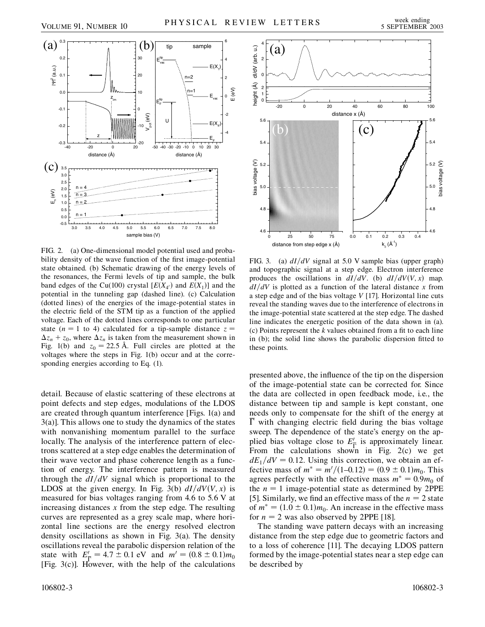

FIG. 2. (a) One-dimensional model potential used and probability density of the wave function of the first image-potential state obtained. (b) Schematic drawing of the energy levels of the resonances, the Fermi levels of tip and sample, the bulk band edges of the Cu(100) crystal  $[E(X_{4})]$  and  $E(X_1)]$  and the potential in the tunneling gap (dashed line). (c) Calculation (dotted lines) of the energies of the image-potential states in the electric field of the STM tip as a function of the applied voltage. Each of the dotted lines corresponds to one particular state ( $n = 1$  to 4) calculated for a tip-sample distance  $z =$  $\Delta z_n + z_0$ , where  $\Delta z_n$  is taken from the measurement shown in Fig. 1(b) and  $z_0 = 22.5$  Å. Full circles are plotted at the voltages where the steps in Fig. 1(b) occur and at the corresponding energies according to Eq. (1).

detail. Because of elastic scattering of these electrons at point defects and step edges, modulations of the LDOS are created through quantum interference [Figs. 1(a) and 3(a)]. This allows one to study the dynamics of the states with nonvanishing momentum parallel to the surface locally. The analysis of the interference pattern of electrons scattered at a step edge enables the determination of their wave vector and phase coherence length as a function of energy. The interference pattern is measured through the  $dI/dV$  signal which is proportional to the LDOS at the given energy. In Fig. 3(b)  $dI/dV(V, x)$  is measured for bias voltages ranging from 4*:*6 to 5*:*6 V at increasing distances *x* from the step edge. The resulting curves are represented as a grey scale map, where horizontal line sections are the energy resolved electron density oscillations as shown in Fig. 3(a). The density oscillations reveal the parabolic dispersion relation of the state with  $E'_{\overline{I}} = 4.7 \pm 0.1$  eV and  $m' = (0.8 \pm 0.1) m_0$ [Fig. 3(c)]. However, with the help of the calculations



FIG. 3. (a)  $dI/dV$  signal at 5.0 V sample bias (upper graph) and topographic signal at a step edge. Electron interference produces the oscillations in  $dI/dV$ . (b)  $dI/dV(V, x)$  map.  $dI/dV$  is plotted as a function of the lateral distance *x* from a step edge and of the bias voltage *V* [17]. Horizontal line cuts reveal the standing waves due to the interference of electrons in the image-potential state scattered at the step edge. The dashed line indicates the energetic position of the data shown in (a). (c) Points represent the *k* values obtained from a fit to each line in (b); the solid line shows the parabolic dispersion fitted to these points.

presented above, the influence of the tip on the dispersion of the image-potential state can be corrected for. Since the data are collected in open feedback mode, i.e., the distance between tip and sample is kept constant, one needs only to compensate for the shift of the energy at  $\Gamma$  with changing electric field during the bias voltage sweep. The dependence of the state's energy on the applied bias voltage close to  $E'_{\overline{\Gamma}}$  is approximately linear. From the calculations shown in Fig. 2(c) we get  $dE_1/dV = 0.12$ . Using this correction, we obtain an effective mass of  $m^* = m'/(1-0.12) = (0.9 \pm 0.1)m_0$ . This agrees perfectly with the effective mass  $m^* = 0.9m_0$  of the  $n = 1$  image-potential state as determined by 2PPE [5]. Similarly, we find an effective mass of the  $n = 2$  state of  $m^* = (1.0 \pm 0.1)m_0$ . An increase in the effective mass for  $n = 2$  was also observed by 2PPE [18].

The standing wave pattern decays with an increasing distance from the step edge due to geometric factors and to a loss of coherence [11]. The decaying LDOS pattern formed by the image-potential states near a step edge can be described by